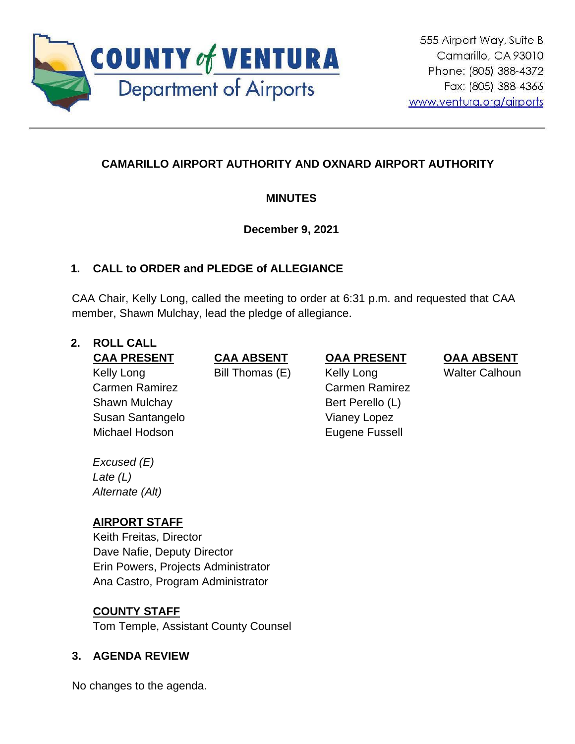

# **CAMARILLO AIRPORT AUTHORITY AND OXNARD AIRPORT AUTHORITY**

## **MINUTES**

## **December 9, 2021**

## **1. CALL to ORDER and PLEDGE of ALLEGIANCE**

CAA Chair, Kelly Long, called the meeting to order at 6:31 p.m. and requested that CAA member, Shawn Mulchay, lead the pledge of allegiance.

### **2. ROLL CALL**

Kelly Long Carmen Ramirez Shawn Mulchay Susan Santangelo Michael Hodson **Eugene Fussell** 

**CAA PRESENT CAA ABSENT OAA PRESENT OAA ABSENT**

Bill Thomas (E) Kelly Long Carmen Ramirez Bert Perello (L) Vianey Lopez

Walter Calhoun

*Excused (E) Late (L) Alternate (Alt)*

# **AIRPORT STAFF**

Keith Freitas, Director Dave Nafie, Deputy Director Erin Powers, Projects Administrator Ana Castro, Program Administrator

## **COUNTY STAFF**

Tom Temple, Assistant County Counsel

## **3. AGENDA REVIEW**

No changes to the agenda.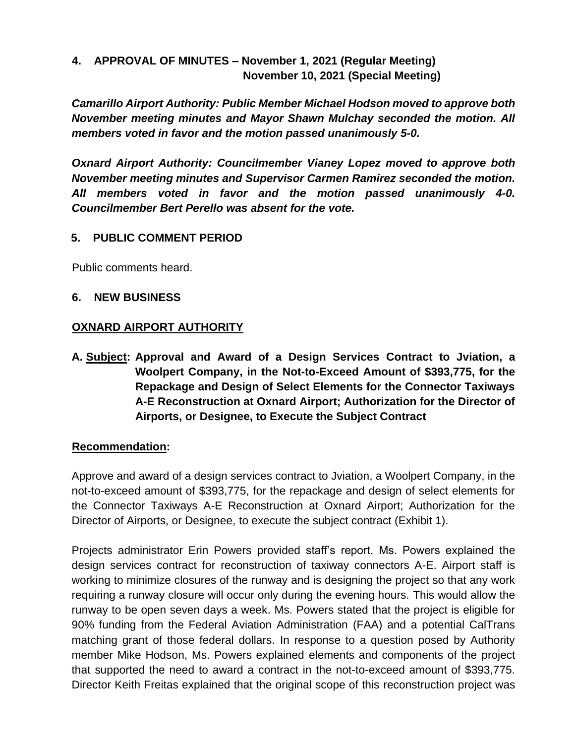### **4. APPROVAL OF MINUTES – November 1, 2021 (Regular Meeting) November 10, 2021 (Special Meeting)**

*Camarillo Airport Authority: Public Member Michael Hodson moved to approve both November meeting minutes and Mayor Shawn Mulchay seconded the motion. All members voted in favor and the motion passed unanimously 5-0.*

*Oxnard Airport Authority: Councilmember Vianey Lopez moved to approve both November meeting minutes and Supervisor Carmen Ramirez seconded the motion. All members voted in favor and the motion passed unanimously 4-0. Councilmember Bert Perello was absent for the vote.* 

### **5. PUBLIC COMMENT PERIOD**

Public comments heard.

#### **6. NEW BUSINESS**

#### **OXNARD AIRPORT AUTHORITY**

**A. Subject: Approval and Award of a Design Services Contract to Jviation, a Woolpert Company, in the Not-to-Exceed Amount of \$393,775, for the Repackage and Design of Select Elements for the Connector Taxiways A-E Reconstruction at Oxnard Airport; Authorization for the Director of Airports, or Designee, to Execute the Subject Contract**

#### **Recommendation:**

Approve and award of a design services contract to Jviation, a Woolpert Company, in the not-to-exceed amount of \$393,775, for the repackage and design of select elements for the Connector Taxiways A-E Reconstruction at Oxnard Airport; Authorization for the Director of Airports, or Designee, to execute the subject contract (Exhibit 1).

Projects administrator Erin Powers provided staff's report. Ms. Powers explained the design services contract for reconstruction of taxiway connectors A-E. Airport staff is working to minimize closures of the runway and is designing the project so that any work requiring a runway closure will occur only during the evening hours. This would allow the runway to be open seven days a week. Ms. Powers stated that the project is eligible for 90% funding from the Federal Aviation Administration (FAA) and a potential CalTrans matching grant of those federal dollars. In response to a question posed by Authority member Mike Hodson, Ms. Powers explained elements and components of the project that supported the need to award a contract in the not-to-exceed amount of \$393,775. Director Keith Freitas explained that the original scope of this reconstruction project was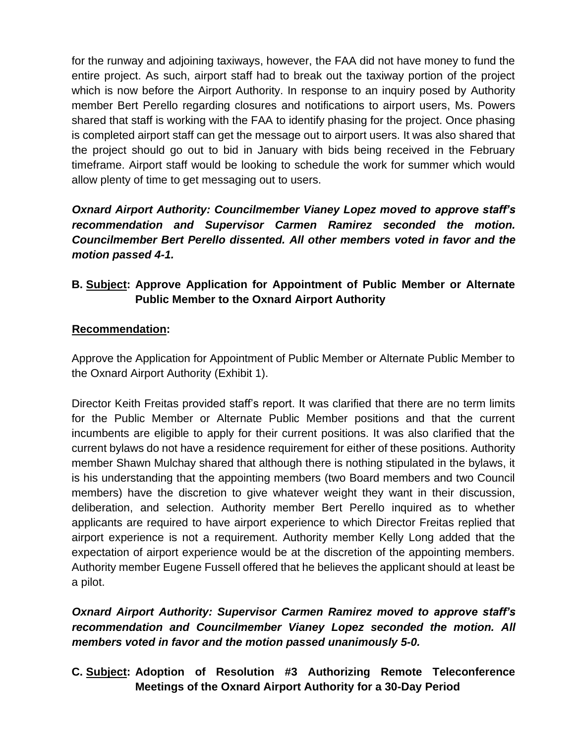for the runway and adjoining taxiways, however, the FAA did not have money to fund the entire project. As such, airport staff had to break out the taxiway portion of the project which is now before the Airport Authority. In response to an inquiry posed by Authority member Bert Perello regarding closures and notifications to airport users, Ms. Powers shared that staff is working with the FAA to identify phasing for the project. Once phasing is completed airport staff can get the message out to airport users. It was also shared that the project should go out to bid in January with bids being received in the February timeframe. Airport staff would be looking to schedule the work for summer which would allow plenty of time to get messaging out to users.

*Oxnard Airport Authority: Councilmember Vianey Lopez moved to approve staff's recommendation and Supervisor Carmen Ramirez seconded the motion. Councilmember Bert Perello dissented. All other members voted in favor and the motion passed 4-1.* 

## **B. Subject: Approve Application for Appointment of Public Member or Alternate Public Member to the Oxnard Airport Authority**

### **Recommendation:**

Approve the Application for Appointment of Public Member or Alternate Public Member to the Oxnard Airport Authority (Exhibit 1).

Director Keith Freitas provided staff's report. It was clarified that there are no term limits for the Public Member or Alternate Public Member positions and that the current incumbents are eligible to apply for their current positions. It was also clarified that the current bylaws do not have a residence requirement for either of these positions. Authority member Shawn Mulchay shared that although there is nothing stipulated in the bylaws, it is his understanding that the appointing members (two Board members and two Council members) have the discretion to give whatever weight they want in their discussion, deliberation, and selection. Authority member Bert Perello inquired as to whether applicants are required to have airport experience to which Director Freitas replied that airport experience is not a requirement. Authority member Kelly Long added that the expectation of airport experience would be at the discretion of the appointing members. Authority member Eugene Fussell offered that he believes the applicant should at least be a pilot.

*Oxnard Airport Authority: Supervisor Carmen Ramirez moved to approve staff's recommendation and Councilmember Vianey Lopez seconded the motion. All members voted in favor and the motion passed unanimously 5-0.*

## **C. Subject: Adoption of Resolution #3 Authorizing Remote Teleconference Meetings of the Oxnard Airport Authority for a 30-Day Period**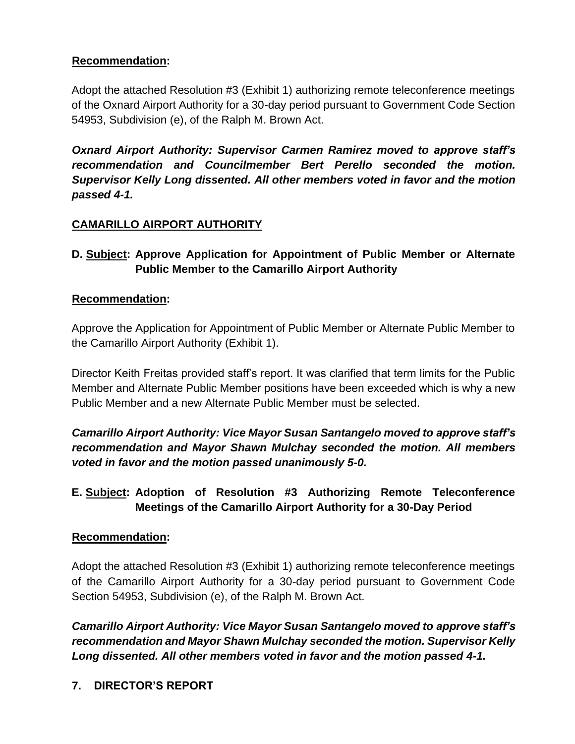## **Recommendation:**

Adopt the attached Resolution #3 (Exhibit 1) authorizing remote teleconference meetings of the Oxnard Airport Authority for a 30-day period pursuant to Government Code Section 54953, Subdivision (e), of the Ralph M. Brown Act.

*Oxnard Airport Authority: Supervisor Carmen Ramirez moved to approve staff's recommendation and Councilmember Bert Perello seconded the motion. Supervisor Kelly Long dissented. All other members voted in favor and the motion passed 4-1.* 

# **CAMARILLO AIRPORT AUTHORITY**

## **D. Subject: Approve Application for Appointment of Public Member or Alternate Public Member to the Camarillo Airport Authority**

### **Recommendation:**

Approve the Application for Appointment of Public Member or Alternate Public Member to the Camarillo Airport Authority (Exhibit 1).

Director Keith Freitas provided staff's report. It was clarified that term limits for the Public Member and Alternate Public Member positions have been exceeded which is why a new Public Member and a new Alternate Public Member must be selected.

*Camarillo Airport Authority: Vice Mayor Susan Santangelo moved to approve staff's recommendation and Mayor Shawn Mulchay seconded the motion. All members voted in favor and the motion passed unanimously 5-0.*

# **E. Subject: Adoption of Resolution #3 Authorizing Remote Teleconference Meetings of the Camarillo Airport Authority for a 30-Day Period**

### **Recommendation:**

Adopt the attached Resolution #3 (Exhibit 1) authorizing remote teleconference meetings of the Camarillo Airport Authority for a 30-day period pursuant to Government Code Section 54953, Subdivision (e), of the Ralph M. Brown Act.

*Camarillo Airport Authority: Vice Mayor Susan Santangelo moved to approve staff's recommendation and Mayor Shawn Mulchay seconded the motion. Supervisor Kelly Long dissented. All other members voted in favor and the motion passed 4-1.*

### **7. DIRECTOR'S REPORT**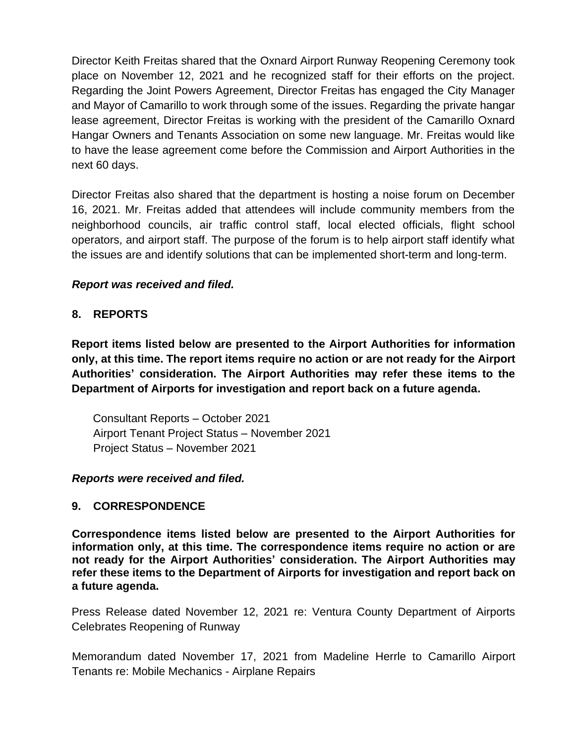Director Keith Freitas shared that the Oxnard Airport Runway Reopening Ceremony took place on November 12, 2021 and he recognized staff for their efforts on the project. Regarding the Joint Powers Agreement, Director Freitas has engaged the City Manager and Mayor of Camarillo to work through some of the issues. Regarding the private hangar lease agreement, Director Freitas is working with the president of the Camarillo Oxnard Hangar Owners and Tenants Association on some new language. Mr. Freitas would like to have the lease agreement come before the Commission and Airport Authorities in the next 60 days.

Director Freitas also shared that the department is hosting a noise forum on December 16, 2021. Mr. Freitas added that attendees will include community members from the neighborhood councils, air traffic control staff, local elected officials, flight school operators, and airport staff. The purpose of the forum is to help airport staff identify what the issues are and identify solutions that can be implemented short-term and long-term.

#### *Report was received and filed.*

#### **8. REPORTS**

**Report items listed below are presented to the Airport Authorities for information only, at this time. The report items require no action or are not ready for the Airport Authorities' consideration. The Airport Authorities may refer these items to the Department of Airports for investigation and report back on a future agenda.** 

Consultant Reports – October 2021 Airport Tenant Project Status – November 2021 Project Status – November 2021

#### *Reports were received and filed.*

#### **9. CORRESPONDENCE**

**Correspondence items listed below are presented to the Airport Authorities for information only, at this time. The correspondence items require no action or are not ready for the Airport Authorities' consideration. The Airport Authorities may refer these items to the Department of Airports for investigation and report back on a future agenda.** 

Press Release dated November 12, 2021 re: Ventura County Department of Airports Celebrates Reopening of Runway

Memorandum dated November 17, 2021 from Madeline Herrle to Camarillo Airport Tenants re: Mobile Mechanics - Airplane Repairs